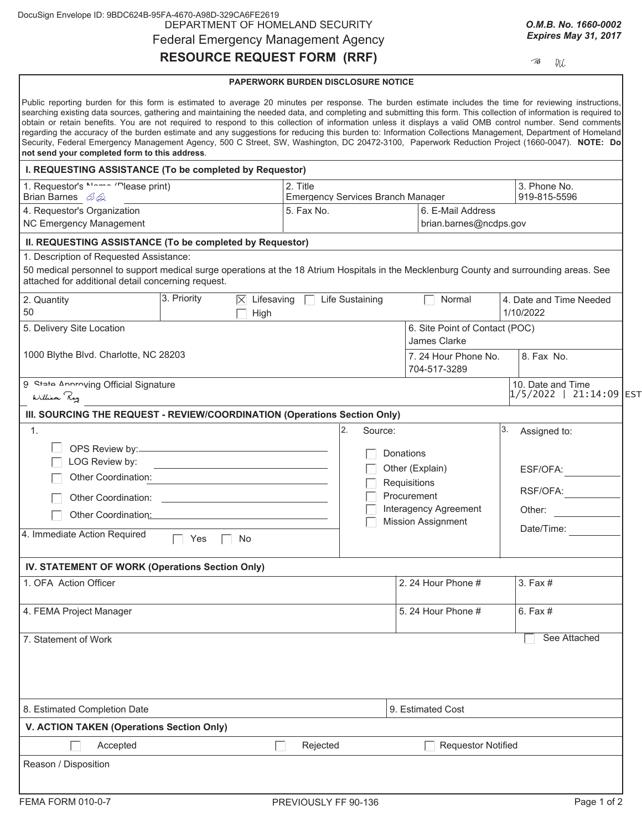| DocuSign Envelope ID: 9BDC624B-95FA-4670-A98D-329CA6FE2619 |  |
|------------------------------------------------------------|--|
| DEPARTMENT OF HOMELAND SECURITY                            |  |
| <b>Federal Emergency Management Agency</b>                 |  |

# **RESOURCE REQUEST FORM (RRF)**

*O.M.B. No. 1660-0002 Expires May 31, 2017*

 $\mathcal{A}$  $\mathcal{U}\mathcal{L}$ 

### **PAPERWORK BURDEN DISCLOSURE NOTICE**

| Public reporting burden for this form is estimated to average 20 minutes per response. The burden estimate includes the time for reviewing instructions,<br>searching existing data sources, gathering and maintaining the needed data, and completing and submitting this form. This collection of information is required to<br>obtain or retain benefits. You are not required to respond to this collection of information unless it displays a valid OMB control number. Send comments<br>regarding the accuracy of the burden estimate and any suggestions for reducing this burden to: Information Collections Management, Department of Homeland<br>Security, Federal Emergency Management Agency, 500 C Street, SW, Washington, DC 20472-3100, Paperwork Reduction Project (1660-0047). NOTE: Do<br>not send your completed form to this address. |                                                                                      |                                                                                                |                                                |          |                                              |  |
|------------------------------------------------------------------------------------------------------------------------------------------------------------------------------------------------------------------------------------------------------------------------------------------------------------------------------------------------------------------------------------------------------------------------------------------------------------------------------------------------------------------------------------------------------------------------------------------------------------------------------------------------------------------------------------------------------------------------------------------------------------------------------------------------------------------------------------------------------------|--------------------------------------------------------------------------------------|------------------------------------------------------------------------------------------------|------------------------------------------------|----------|----------------------------------------------|--|
| I. REQUESTING ASSISTANCE (To be completed by Requestor)                                                                                                                                                                                                                                                                                                                                                                                                                                                                                                                                                                                                                                                                                                                                                                                                    |                                                                                      |                                                                                                |                                                |          |                                              |  |
| 1. Requestor's ""-"" "lease print)<br>Brian Barnes 62                                                                                                                                                                                                                                                                                                                                                                                                                                                                                                                                                                                                                                                                                                                                                                                                      | 3. Phone No.<br>2. Title<br><b>Emergency Services Branch Manager</b><br>919-815-5596 |                                                                                                |                                                |          |                                              |  |
| 4. Requestor's Organization<br>NC Emergency Management                                                                                                                                                                                                                                                                                                                                                                                                                                                                                                                                                                                                                                                                                                                                                                                                     | 5. Fax No.<br>6. E-Mail Address<br>brian.barnes@ncdps.gov                            |                                                                                                |                                                |          |                                              |  |
| II. REQUESTING ASSISTANCE (To be completed by Requestor)                                                                                                                                                                                                                                                                                                                                                                                                                                                                                                                                                                                                                                                                                                                                                                                                   |                                                                                      |                                                                                                |                                                |          |                                              |  |
| 1. Description of Requested Assistance:<br>50 medical personnel to support medical surge operations at the 18 Atrium Hospitals in the Mecklenburg County and surrounding areas. See<br>attached for additional detail concerning request.                                                                                                                                                                                                                                                                                                                                                                                                                                                                                                                                                                                                                  |                                                                                      |                                                                                                |                                                |          |                                              |  |
| 3. Priority<br>$ \overline{\times} $ Lifesaving<br>2. Quantity<br>50<br>High                                                                                                                                                                                                                                                                                                                                                                                                                                                                                                                                                                                                                                                                                                                                                                               |                                                                                      | Life Sustaining                                                                                | Normal                                         |          | 4. Date and Time Needed<br>1/10/2022         |  |
| 5. Delivery Site Location                                                                                                                                                                                                                                                                                                                                                                                                                                                                                                                                                                                                                                                                                                                                                                                                                                  |                                                                                      |                                                                                                | 6. Site Point of Contact (POC)<br>James Clarke |          |                                              |  |
| 1000 Blythe Blvd. Charlotte, NC 28203                                                                                                                                                                                                                                                                                                                                                                                                                                                                                                                                                                                                                                                                                                                                                                                                                      |                                                                                      |                                                                                                | 7.24 Hour Phone No.<br>704-517-3289            |          | 8. Fax No.                                   |  |
| <b>Q</b> State Annroving Official Signature<br>William Roy                                                                                                                                                                                                                                                                                                                                                                                                                                                                                                                                                                                                                                                                                                                                                                                                 |                                                                                      |                                                                                                |                                                |          | 10. Date and Time<br>$1/5/2022$ 21:14:09 EST |  |
| III. SOURCING THE REQUEST - REVIEW/COORDINATION (Operations Section Only)                                                                                                                                                                                                                                                                                                                                                                                                                                                                                                                                                                                                                                                                                                                                                                                  |                                                                                      |                                                                                                |                                                |          |                                              |  |
| $\mathbf{1}$ .                                                                                                                                                                                                                                                                                                                                                                                                                                                                                                                                                                                                                                                                                                                                                                                                                                             |                                                                                      | 2.<br>Source:                                                                                  |                                                | 3.       | Assigned to:                                 |  |
| LOG Review by:<br><u> 1989 - Johann Stein, mars an deutscher Stein (</u><br>Other Coordination:                                                                                                                                                                                                                                                                                                                                                                                                                                                                                                                                                                                                                                                                                                                                                            |                                                                                      | Donations<br>Other (Explain)<br>Requisitions<br>Procurement<br>Interagency Agreement<br>Other: |                                                | ESF/OFA: |                                              |  |
|                                                                                                                                                                                                                                                                                                                                                                                                                                                                                                                                                                                                                                                                                                                                                                                                                                                            |                                                                                      |                                                                                                |                                                | RSF/OFA: |                                              |  |
| Other Coordination: National Accordination of the Coordination:                                                                                                                                                                                                                                                                                                                                                                                                                                                                                                                                                                                                                                                                                                                                                                                            |                                                                                      |                                                                                                |                                                |          |                                              |  |
| 4. Immediate Action Required<br>Yes<br>No.                                                                                                                                                                                                                                                                                                                                                                                                                                                                                                                                                                                                                                                                                                                                                                                                                 | Date/Time:                                                                           |                                                                                                | <b>Mission Assignment</b>                      |          |                                              |  |
| IV. STATEMENT OF WORK (Operations Section Only)                                                                                                                                                                                                                                                                                                                                                                                                                                                                                                                                                                                                                                                                                                                                                                                                            |                                                                                      |                                                                                                |                                                |          |                                              |  |
| 1. OFA Action Officer                                                                                                                                                                                                                                                                                                                                                                                                                                                                                                                                                                                                                                                                                                                                                                                                                                      |                                                                                      |                                                                                                | 2. 24 Hour Phone #                             |          | $3.$ Fax $#$                                 |  |
| 4. FEMA Project Manager                                                                                                                                                                                                                                                                                                                                                                                                                                                                                                                                                                                                                                                                                                                                                                                                                                    |                                                                                      |                                                                                                | 5. 24 Hour Phone #                             |          | 6. Fax #                                     |  |
| 7. Statement of Work                                                                                                                                                                                                                                                                                                                                                                                                                                                                                                                                                                                                                                                                                                                                                                                                                                       |                                                                                      |                                                                                                |                                                |          | See Attached                                 |  |
| 8. Estimated Completion Date                                                                                                                                                                                                                                                                                                                                                                                                                                                                                                                                                                                                                                                                                                                                                                                                                               |                                                                                      |                                                                                                | 9. Estimated Cost                              |          |                                              |  |
| V. ACTION TAKEN (Operations Section Only)                                                                                                                                                                                                                                                                                                                                                                                                                                                                                                                                                                                                                                                                                                                                                                                                                  |                                                                                      |                                                                                                |                                                |          |                                              |  |
| Accepted<br><b>College</b>                                                                                                                                                                                                                                                                                                                                                                                                                                                                                                                                                                                                                                                                                                                                                                                                                                 | Rejected                                                                             |                                                                                                | <b>Requestor Notified</b>                      |          |                                              |  |
| Reason / Disposition                                                                                                                                                                                                                                                                                                                                                                                                                                                                                                                                                                                                                                                                                                                                                                                                                                       |                                                                                      |                                                                                                |                                                |          |                                              |  |
| FEMA FORM 010-0-7                                                                                                                                                                                                                                                                                                                                                                                                                                                                                                                                                                                                                                                                                                                                                                                                                                          | PREVIOUSLY FF 90-136                                                                 |                                                                                                |                                                |          | Page 1 of 2                                  |  |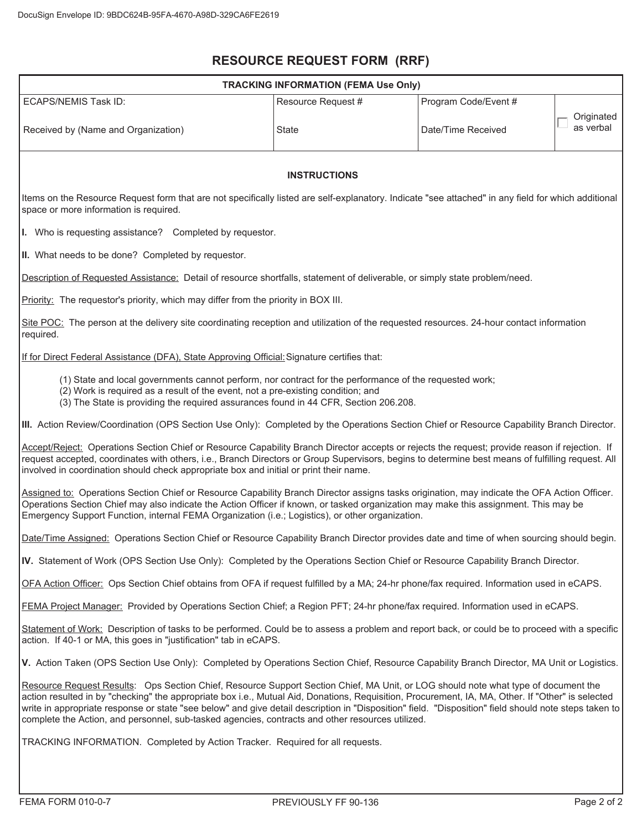## **RESOURCE REQUEST FORM (RRF)**

| <b>TRACKING INFORMATION (FEMA Use Only)</b>                                                                                                                                                                                                                                                                                                                                                                                                                                                                                                          |                    |                      |                         |  |  |  |  |  |  |
|------------------------------------------------------------------------------------------------------------------------------------------------------------------------------------------------------------------------------------------------------------------------------------------------------------------------------------------------------------------------------------------------------------------------------------------------------------------------------------------------------------------------------------------------------|--------------------|----------------------|-------------------------|--|--|--|--|--|--|
| <b>ECAPS/NEMIS Task ID:</b>                                                                                                                                                                                                                                                                                                                                                                                                                                                                                                                          | Resource Request # | Program Code/Event # |                         |  |  |  |  |  |  |
| Received by (Name and Organization)                                                                                                                                                                                                                                                                                                                                                                                                                                                                                                                  | State              | Date/Time Received   | Originated<br>as verbal |  |  |  |  |  |  |
| <b>INSTRUCTIONS</b>                                                                                                                                                                                                                                                                                                                                                                                                                                                                                                                                  |                    |                      |                         |  |  |  |  |  |  |
| Items on the Resource Request form that are not specifically listed are self-explanatory. Indicate "see attached" in any field for which additional<br>space or more information is required.                                                                                                                                                                                                                                                                                                                                                        |                    |                      |                         |  |  |  |  |  |  |
| I. Who is requesting assistance? Completed by requestor.                                                                                                                                                                                                                                                                                                                                                                                                                                                                                             |                    |                      |                         |  |  |  |  |  |  |
| II. What needs to be done? Completed by requestor.                                                                                                                                                                                                                                                                                                                                                                                                                                                                                                   |                    |                      |                         |  |  |  |  |  |  |
| Description of Requested Assistance: Detail of resource shortfalls, statement of deliverable, or simply state problem/need.                                                                                                                                                                                                                                                                                                                                                                                                                          |                    |                      |                         |  |  |  |  |  |  |
| Priority: The requestor's priority, which may differ from the priority in BOX III.                                                                                                                                                                                                                                                                                                                                                                                                                                                                   |                    |                      |                         |  |  |  |  |  |  |
| Site POC: The person at the delivery site coordinating reception and utilization of the requested resources. 24-hour contact information<br>required.                                                                                                                                                                                                                                                                                                                                                                                                |                    |                      |                         |  |  |  |  |  |  |
| If for Direct Federal Assistance (DFA), State Approving Official: Signature certifies that:                                                                                                                                                                                                                                                                                                                                                                                                                                                          |                    |                      |                         |  |  |  |  |  |  |
| (1) State and local governments cannot perform, nor contract for the performance of the requested work;<br>(2) Work is required as a result of the event, not a pre-existing condition; and<br>(3) The State is providing the required assurances found in 44 CFR, Section 206.208.                                                                                                                                                                                                                                                                  |                    |                      |                         |  |  |  |  |  |  |
| III. Action Review/Coordination (OPS Section Use Only): Completed by the Operations Section Chief or Resource Capability Branch Director.                                                                                                                                                                                                                                                                                                                                                                                                            |                    |                      |                         |  |  |  |  |  |  |
| Accept/Reject: Operations Section Chief or Resource Capability Branch Director accepts or rejects the request; provide reason if rejection. If<br>request accepted, coordinates with others, i.e., Branch Directors or Group Supervisors, begins to determine best means of fulfilling request. All<br>involved in coordination should check appropriate box and initial or print their name.                                                                                                                                                        |                    |                      |                         |  |  |  |  |  |  |
| Assigned to: Operations Section Chief or Resource Capability Branch Director assigns tasks origination, may indicate the OFA Action Officer.<br>Operations Section Chief may also indicate the Action Officer if known, or tasked organization may make this assignment. This may be<br>Emergency Support Function, internal FEMA Organization (i.e.; Logistics), or other organization.                                                                                                                                                             |                    |                      |                         |  |  |  |  |  |  |
| Date/Time Assigned: Operations Section Chief or Resource Capability Branch Director provides date and time of when sourcing should begin.                                                                                                                                                                                                                                                                                                                                                                                                            |                    |                      |                         |  |  |  |  |  |  |
| IV. Statement of Work (OPS Section Use Only): Completed by the Operations Section Chief or Resource Capability Branch Director.                                                                                                                                                                                                                                                                                                                                                                                                                      |                    |                      |                         |  |  |  |  |  |  |
| OFA Action Officer: Ops Section Chief obtains from OFA if request fulfilled by a MA; 24-hr phone/fax required. Information used in eCAPS.                                                                                                                                                                                                                                                                                                                                                                                                            |                    |                      |                         |  |  |  |  |  |  |
| FEMA Project Manager: Provided by Operations Section Chief; a Region PFT; 24-hr phone/fax required. Information used in eCAPS.                                                                                                                                                                                                                                                                                                                                                                                                                       |                    |                      |                         |  |  |  |  |  |  |
| Statement of Work: Description of tasks to be performed. Could be to assess a problem and report back, or could be to proceed with a specific<br>action. If 40-1 or MA, this goes in "justification" tab in eCAPS.                                                                                                                                                                                                                                                                                                                                   |                    |                      |                         |  |  |  |  |  |  |
| V. Action Taken (OPS Section Use Only): Completed by Operations Section Chief, Resource Capability Branch Director, MA Unit or Logistics.                                                                                                                                                                                                                                                                                                                                                                                                            |                    |                      |                         |  |  |  |  |  |  |
| Resource Request Results: Ops Section Chief, Resource Support Section Chief, MA Unit, or LOG should note what type of document the<br>action resulted in by "checking" the appropriate box i.e., Mutual Aid, Donations, Requisition, Procurement, IA, MA, Other. If "Other" is selected<br>write in appropriate response or state "see below" and give detail description in "Disposition" field. "Disposition" field should note steps taken to<br>complete the Action, and personnel, sub-tasked agencies, contracts and other resources utilized. |                    |                      |                         |  |  |  |  |  |  |
| TRACKING INFORMATION. Completed by Action Tracker. Required for all requests.                                                                                                                                                                                                                                                                                                                                                                                                                                                                        |                    |                      |                         |  |  |  |  |  |  |
|                                                                                                                                                                                                                                                                                                                                                                                                                                                                                                                                                      |                    |                      |                         |  |  |  |  |  |  |